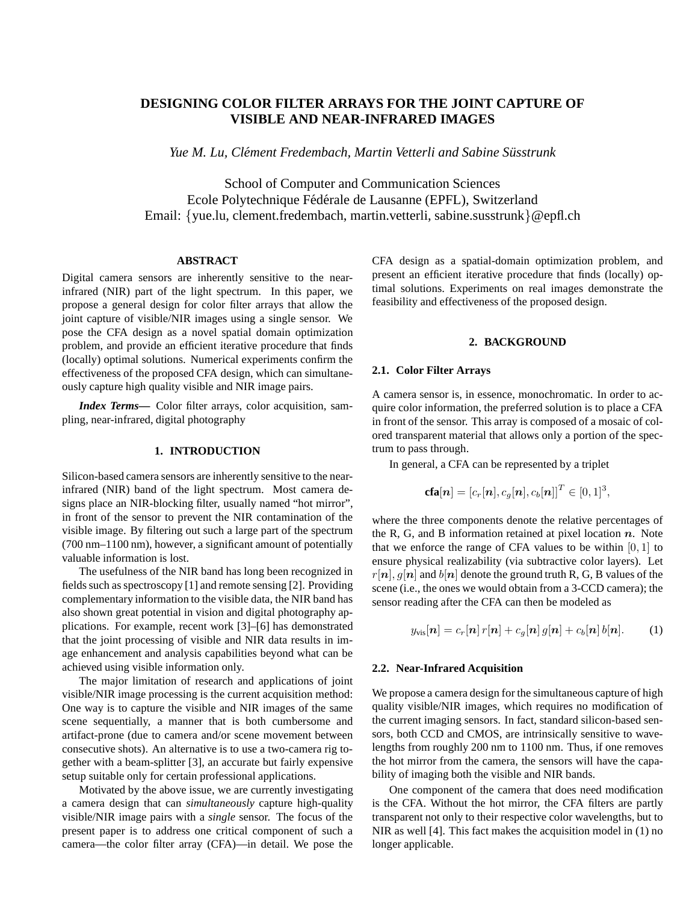# **DESIGNING COLOR FILTER ARRAYS FOR THE JOINT CAPTURE OF VISIBLE AND NEAR-INFRARED IMAGES**

*Yue M. Lu, Clément Fredembach, Martin Vetterli and Sabine Süsstrunk* 

School of Computer and Communication Sciences Ecole Polytechnique Fédérale de Lausanne (EPFL), Switzerland Email: {yue.lu, clement.fredembach, martin.vetterli, sabine.susstrunk}@epfl.ch

### **ABSTRACT**

Digital camera sensors are inherently sensitive to the nearinfrared (NIR) part of the light spectrum. In this paper, we propose a general design for color filter arrays that allow the joint capture of visible/NIR images using a single sensor. We pose the CFA design as a novel spatial domain optimization problem, and provide an efficient iterative procedure that finds (locally) optimal solutions. Numerical experiments confirm the effectiveness of the proposed CFA design, which can simultaneously capture high quality visible and NIR image pairs.

*Index Terms***—** Color filter arrays, color acquisition, sampling, near-infrared, digital photography

## **1. INTRODUCTION**

Silicon-based camera sensors are inherently sensitive to the nearinfrared (NIR) band of the light spectrum. Most camera designs place an NIR-blocking filter, usually named "hot mirror", in front of the sensor to prevent the NIR contamination of the visible image. By filtering out such a large part of the spectrum (700 nm–1100 nm), however, a significant amount of potentially valuable information is lost.

The usefulness of the NIR band has long been recognized in fields such as spectroscopy [1] and remote sensing [2]. Providing complementary information to the visible data, the NIR band has also shown great potential in vision and digital photography applications. For example, recent work [3]–[6] has demonstrated that the joint processing of visible and NIR data results in image enhancement and analysis capabilities beyond what can be achieved using visible information only.

The major limitation of research and applications of joint visible/NIR image processing is the current acquisition method: One way is to capture the visible and NIR images of the same scene sequentially, a manner that is both cumbersome and artifact-prone (due to camera and/or scene movement between consecutive shots). An alternative is to use a two-camera rig together with a beam-splitter [3], an accurate but fairly expensive setup suitable only for certain professional applications.

Motivated by the above issue, we are currently investigating a camera design that can *simultaneously* capture high-quality visible/NIR image pairs with a *single* sensor. The focus of the present paper is to address one critical component of such a camera—the color filter array (CFA)—in detail. We pose the CFA design as a spatial-domain optimization problem, and present an efficient iterative procedure that finds (locally) optimal solutions. Experiments on real images demonstrate the feasibility and effectiveness of the proposed design.

## **2. BACKGROUND**

### **2.1. Color Filter Arrays**

A camera sensor is, in essence, monochromatic. In order to acquire color information, the preferred solution is to place a CFA in front of the sensor. This array is composed of a mosaic of colored transparent material that allows only a portion of the spectrum to pass through.

In general, a CFA can be represented by a triplet

$$
\mathbf{cfa}[\boldsymbol{n}] = \left[c_r[\boldsymbol{n}],c_g[\boldsymbol{n}],c_b[\boldsymbol{n}]\right]^T \in [0,1]^3,
$$

where the three components denote the relative percentages of the R, G, and B information retained at pixel location  $n$ . Note that we enforce the range of CFA values to be within  $[0, 1]$  to ensure physical realizability (via subtractive color layers). Let  $r[n], q[n]$  and  $b[n]$  denote the ground truth R, G, B values of the scene (i.e., the ones we would obtain from a 3-CCD camera); the sensor reading after the CFA can then be modeled as

$$
y_{\text{vis}}[\boldsymbol{n}] = c_r[\boldsymbol{n}] \, r[\boldsymbol{n}] + c_g[\boldsymbol{n}] \, g[\boldsymbol{n}] + c_b[\boldsymbol{n}] \, b[\boldsymbol{n}]. \tag{1}
$$

### **2.2. Near-Infrared Acquisition**

We propose a camera design for the simultaneous capture of high quality visible/NIR images, which requires no modification of the current imaging sensors. In fact, standard silicon-based sensors, both CCD and CMOS, are intrinsically sensitive to wavelengths from roughly 200 nm to 1100 nm. Thus, if one removes the hot mirror from the camera, the sensors will have the capability of imaging both the visible and NIR bands.

One component of the camera that does need modification is the CFA. Without the hot mirror, the CFA filters are partly transparent not only to their respective color wavelengths, but to NIR as well [4]. This fact makes the acquisition model in (1) no longer applicable.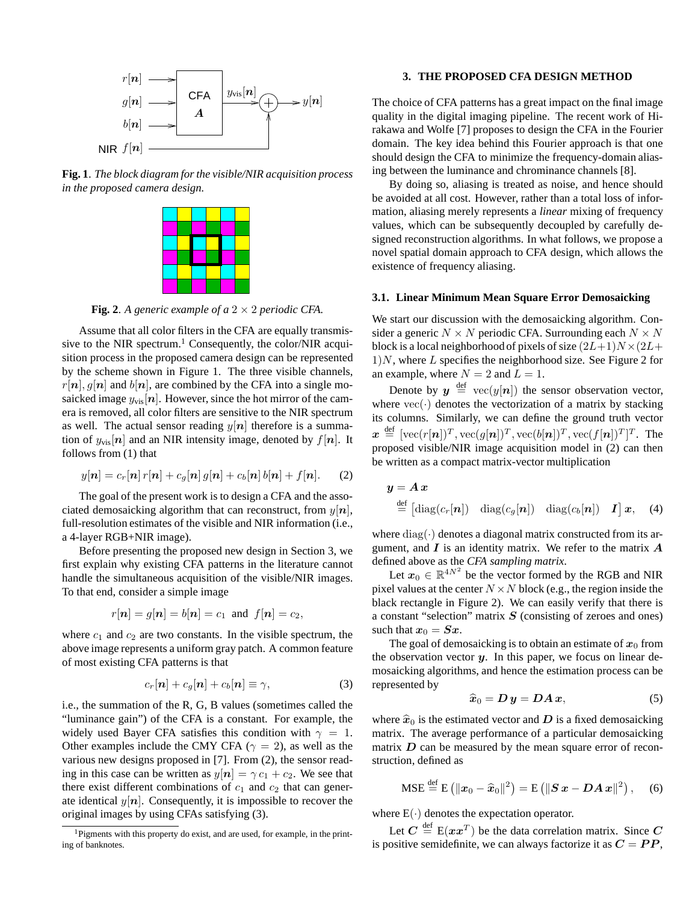

**Fig. 1**. *The block diagram for the visible/NIR acquisition process in the proposed camera design.*



**Fig. 2**. A generic example of a  $2 \times 2$  periodic CFA.

Assume that all color filters in the CFA are equally transmissive to the NIR spectrum.<sup>1</sup> Consequently, the color/NIR acquisition process in the proposed camera design can be represented by the scheme shown in Figure 1. The three visible channels,  $r[n], g[n]$  and  $b[n]$ , are combined by the CFA into a single mosaicked image  $y_{\text{vis}}[n]$ . However, since the hot mirror of the camera is removed, all color filters are sensitive to the NIR spectrum as well. The actual sensor reading  $y[n]$  therefore is a summation of  $y_{\text{vis}}[n]$  and an NIR intensity image, denoted by  $f[n]$ . It follows from (1) that

$$
y[n] = c_r[n] r[n] + c_g[n] g[n] + c_b[n] b[n] + f[n]. \tag{2}
$$

The goal of the present work is to design a CFA and the associated demosaicking algorithm that can reconstruct, from  $y[n]$ , full-resolution estimates of the visible and NIR information (i.e., a 4-layer RGB+NIR image).

Before presenting the proposed new design in Section 3, we first explain why existing CFA patterns in the literature cannot handle the simultaneous acquisition of the visible/NIR images. To that end, consider a simple image

$$
r[n] = g[n] = b[n] = c_1
$$
 and  $f[n] = c_2$ ,

where  $c_1$  and  $c_2$  are two constants. In the visible spectrum, the above image represents a uniform gray patch. A common feature of most existing CFA patterns is that

$$
c_r[\boldsymbol{n}] + c_g[\boldsymbol{n}] + c_b[\boldsymbol{n}] \equiv \gamma,\tag{3}
$$

i.e., the summation of the R, G, B values (sometimes called the "luminance gain") of the CFA is a constant. For example, the widely used Bayer CFA satisfies this condition with  $\gamma = 1$ . Other examples include the CMY CFA ( $\gamma = 2$ ), as well as the various new designs proposed in [7]. From (2), the sensor reading in this case can be written as  $y[n] = \gamma c_1 + c_2$ . We see that there exist different combinations of  $c_1$  and  $c_2$  that can generate identical  $y[n]$ . Consequently, it is impossible to recover the original images by using CFAs satisfying (3).

### **3. THE PROPOSED CFA DESIGN METHOD**

The choice of CFA patterns has a great impact on the final image quality in the digital imaging pipeline. The recent work of Hirakawa and Wolfe [7] proposes to design the CFA in the Fourier domain. The key idea behind this Fourier approach is that one should design the CFA to minimize the frequency-domain aliasing between the luminance and chrominance channels [8].

By doing so, aliasing is treated as noise, and hence should be avoided at all cost. However, rather than a total loss of information, aliasing merely represents a *linear* mixing of frequency values, which can be subsequently decoupled by carefully designed reconstruction algorithms. In what follows, we propose a novel spatial domain approach to CFA design, which allows the existence of frequency aliasing.

#### **3.1. Linear Minimum Mean Square Error Demosaicking**

We start our discussion with the demosaicking algorithm. Consider a generic  $N \times N$  periodic CFA. Surrounding each  $N \times N$ block is a local neighborhood of pixels of size  $(2L+1)N \times (2L+1)$  $1$ )N, where L specifies the neighborhood size. See Figure 2 for an example, where  $N = 2$  and  $L = 1$ .

Denote by  $y \stackrel{\text{def}}{=} \text{vec}(y[n])$  the sensor observation vector, where  $vec(\cdot)$  denotes the vectorization of a matrix by stacking its columns. Similarly, we can define the ground truth vector  $\boldsymbol{x} \stackrel{\text{def}}{=} [\text{vec}(r[\boldsymbol{n}])^T, \text{vec}(g[\boldsymbol{n}])^T, \text{vec}(b[\boldsymbol{n}])^T, \text{vec}(f[\boldsymbol{n}])^T]^T$ . The proposed visible/NIR image acquisition model in (2) can then be written as a compact matrix-vector multiplication

$$
\mathbf{y} = \mathbf{A}\mathbf{x}
$$
  
\n
$$
\stackrel{\text{def}}{=} \begin{bmatrix} \text{diag}(c_r[\mathbf{n}]) & \text{diag}(c_g[\mathbf{n}]) & \text{diag}(c_b[\mathbf{n}]) & \mathbf{I} \end{bmatrix} \mathbf{x}, \quad (4)
$$

where  $diag(\cdot)$  denotes a diagonal matrix constructed from its argument, and  $\boldsymbol{I}$  is an identity matrix. We refer to the matrix  $\boldsymbol{A}$ defined above as the *CFA sampling matrix*.

Let  $x_0 \in \mathbb{R}^{4N^2}$  be the vector formed by the RGB and NIR pixel values at the center  $N \times N$  block (e.g., the region inside the black rectangle in Figure 2). We can easily verify that there is a constant "selection" matrix  $S$  (consisting of zeroes and ones) such that  $x_0 = Sx$ .

The goal of demosaicking is to obtain an estimate of  $x_0$  from the observation vector  $y$ . In this paper, we focus on linear demosaicking algorithms, and hence the estimation process can be represented by

$$
\widehat{\boldsymbol{x}}_0 = \boldsymbol{D}\,\boldsymbol{y} = \boldsymbol{D}\boldsymbol{A}\,\boldsymbol{x},\tag{5}
$$

where  $\hat{x}_0$  is the estimated vector and D is a fixed demosaicking matrix. The average performance of a particular demosaicking matrix  $D$  can be measured by the mean square error of reconstruction, defined as

$$
\text{MSE} \stackrel{\text{def}}{=} \text{E}\left(\|\boldsymbol{x}_0 - \widehat{\boldsymbol{x}}_0\|^2\right) = \text{E}\left(\|\boldsymbol{S}\,\boldsymbol{x} - \boldsymbol{D}\boldsymbol{A}\,\boldsymbol{x}\|^2\right),\quad (6)
$$

where  $E(\cdot)$  denotes the expectation operator.

Let  $C \stackrel{\text{def}}{=} E(xx^T)$  be the data correlation matrix. Since  $C$ is positive semidefinite, we can always factorize it as  $C = PP$ ,

<sup>&</sup>lt;sup>1</sup>Pigments with this property do exist, and are used, for example, in the printing of banknotes.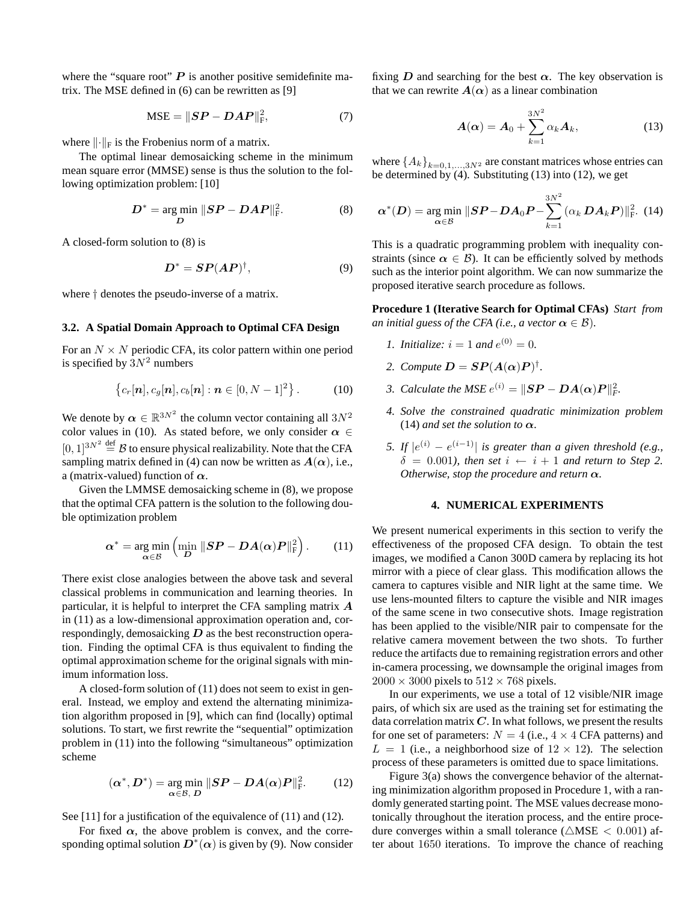where the "square root"  $P$  is another positive semidefinite matrix. The MSE defined in (6) can be rewritten as [9]

$$
\text{MSE} = ||\boldsymbol{SP} - \boldsymbol{D}\boldsymbol{A}\boldsymbol{P}||_{\text{F}}^2,\tag{7}
$$

where  $\lVert \cdot \rVert_F$  is the Frobenius norm of a matrix.

The optimal linear demosaicking scheme in the minimum mean square error (MMSE) sense is thus the solution to the following optimization problem: [10]

$$
D^* = \underset{D}{\arg\min} \ \|SP - DAP\|_{\mathrm{F}}^2. \tag{8}
$$

A closed-form solution to (8) is

$$
D^* = SP(AP)^{\dagger}, \tag{9}
$$

where † denotes the pseudo-inverse of a matrix.

#### **3.2. A Spatial Domain Approach to Optimal CFA Design**

For an  $N \times N$  periodic CFA, its color pattern within one period is specified by  $3N^2$  numbers

$$
\{c_r[n], c_g[n], c_b[n] : n \in [0, N-1]^2\}.
$$
 (10)

We denote by  $\alpha \in \mathbb{R}^{3N^2}$  the column vector containing all  $3N^2$ color values in (10). As stated before, we only consider  $\alpha \in$  $[0, 1]^{3N^2} \stackrel{\text{def}}{=} \mathcal{B}$  to ensure physical realizability. Note that the CFA sampling matrix defined in (4) can now be written as  $A(\alpha)$ , i.e., a (matrix-valued) function of  $\alpha$ .

Given the LMMSE demosaicking scheme in (8), we propose that the optimal CFA pattern is the solution to the following double optimization problem

$$
\alpha^* = \underset{\alpha \in \mathcal{B}}{\arg \min} \left( \underset{D}{\min} \left\| \mathbf{S} \mathbf{P} - \mathbf{D} \mathbf{A}(\alpha) \mathbf{P} \right\|_{\mathrm{F}}^2 \right). \tag{11}
$$

There exist close analogies between the above task and several classical problems in communication and learning theories. In particular, it is helpful to interpret the CFA sampling matrix A in (11) as a low-dimensional approximation operation and, correspondingly, demosaicking  $D$  as the best reconstruction operation. Finding the optimal CFA is thus equivalent to finding the optimal approximation scheme for the original signals with minimum information loss.

A closed-form solution of (11) does not seem to exist in general. Instead, we employ and extend the alternating minimization algorithm proposed in [9], which can find (locally) optimal solutions. To start, we first rewrite the "sequential" optimization problem in (11) into the following "simultaneous" optimization scheme

$$
(\alpha^*, D^*) = \underset{\alpha \in \mathcal{B}, \ D}{\arg \min} \|SP - DA(\alpha)P\|_{\mathrm{F}}^2. \tag{12}
$$

See [11] for a justification of the equivalence of (11) and (12).

For fixed  $\alpha$ , the above problem is convex, and the corresponding optimal solution  $\overline{D}^*(\alpha)$  is given by (9). Now consider

fixing D and searching for the best  $\alpha$ . The key observation is that we can rewrite  $A(\alpha)$  as a linear combination

$$
\boldsymbol{A}(\boldsymbol{\alpha}) = \boldsymbol{A}_0 + \sum_{k=1}^{3N^2} \alpha_k \boldsymbol{A}_k, \tag{13}
$$

where  $\{A_k\}_{k=0,1,\ldots,3N^2}$  are constant matrices whose entries can be determined by  $(4)$ . Substituting  $(13)$  into  $(12)$ , we get

$$
\boldsymbol{\alpha}^*(\boldsymbol{D}) = \underset{\boldsymbol{\alpha} \in \mathcal{B}}{\arg \min} \ \| \boldsymbol{S} \boldsymbol{P} - \boldsymbol{D} \boldsymbol{A}_0 \boldsymbol{P} - \sum_{k=1}^{3N^2} (\alpha_k \boldsymbol{D} \boldsymbol{A}_k \boldsymbol{P}) \|_{\mathrm{F}}^2. (14)
$$

This is a quadratic programming problem with inequality constraints (since  $\alpha \in \mathcal{B}$ ). It can be efficiently solved by methods such as the interior point algorithm. We can now summarize the proposed iterative search procedure as follows.

**Procedure 1 (Iterative Search for Optimal CFAs)** *Start from an initial guess of the CFA (i.e., a vector*  $\alpha \in \mathcal{B}$ ).

- *1. Initialize:*  $i = 1$  *and*  $e^{(0)} = 0$ .
- 2. Compute  $D = SP(A(\alpha)P)^{\dagger}$ .
- *3. Calculate the MSE*  $e^{(i)} = \|\mathbf{SP} \mathbf{DA}(\alpha)\mathbf{P}\|_F^2$ .
- *4. Solve the constrained quadratic minimization problem* (14) *and set the solution to*  $\alpha$ *.*
- *5.* If  $|e^{(i)} e^{(i-1)}|$  is greater than a given threshold (e.g.,  $\delta = 0.001$ *), then set*  $i \leftarrow i + 1$  *and return to Step 2. Otherwise, stop the procedure and return*  $\alpha$ *.*

### **4. NUMERICAL EXPERIMENTS**

We present numerical experiments in this section to verify the effectiveness of the proposed CFA design. To obtain the test images, we modified a Canon 300D camera by replacing its hot mirror with a piece of clear glass. This modification allows the camera to captures visible and NIR light at the same time. We use lens-mounted filters to capture the visible and NIR images of the same scene in two consecutive shots. Image registration has been applied to the visible/NIR pair to compensate for the relative camera movement between the two shots. To further reduce the artifacts due to remaining registration errors and other in-camera processing, we downsample the original images from  $2000 \times 3000$  pixels to  $512 \times 768$  pixels.

In our experiments, we use a total of 12 visible/NIR image pairs, of which six are used as the training set for estimating the data correlation matrix  $C$ . In what follows, we present the results for one set of parameters:  $N = 4$  (i.e.,  $4 \times 4$  CFA patterns) and  $L = 1$  (i.e., a neighborhood size of  $12 \times 12$ ). The selection process of these parameters is omitted due to space limitations.

Figure 3(a) shows the convergence behavior of the alternating minimization algorithm proposed in Procedure 1, with a randomly generated starting point. The MSE values decrease monotonically throughout the iteration process, and the entire procedure converges within a small tolerance ( $\triangle$ MSE < 0.001) after about 1650 iterations. To improve the chance of reaching